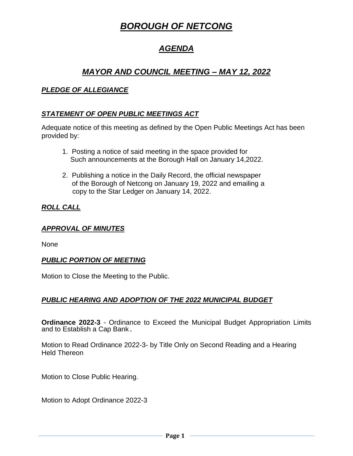# *BOROUGH OF NETCONG*

## *AGENDA*

## *MAYOR AND COUNCIL MEETING – MAY 12, 2022*

#### *PLEDGE OF ALLEGIANCE*

#### *STATEMENT OF OPEN PUBLIC MEETINGS ACT*

Adequate notice of this meeting as defined by the Open Public Meetings Act has been provided by:

- 1. Posting a notice of said meeting in the space provided for Such announcements at the Borough Hall on January 14,2022.
- 2. Publishing a notice in the Daily Record, the official newspaper of the Borough of Netcong on January 19, 2022 and emailing a copy to the Star Ledger on January 14, 2022.

#### *ROLL CALL*

#### *APPROVAL OF MINUTES*

None

#### *PUBLIC PORTION OF MEETING*

Motion to Close the Meeting to the Public.

#### *PUBLIC HEARING AND ADOPTION OF THE 2022 MUNICIPAL BUDGET*

**Ordinance 2022-3** - Ordinance to Exceed the Municipal Budget Appropriation Limits and to Establish a Cap Bank.

Motion to Read Ordinance 2022-3- by Title Only on Second Reading and a Hearing Held Thereon

Motion to Close Public Hearing.

Motion to Adopt Ordinance 2022-3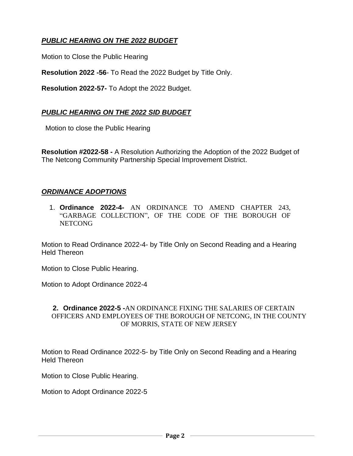## *PUBLIC HEARING ON THE 2022 BUDGET*

Motion to Close the Public Hearing

**Resolution 2022 -56**- To Read the 2022 Budget by Title Only.

**Resolution 2022-57-** To Adopt the 2022 Budget.

#### *PUBLIC HEARING ON THE 2022 SID BUDGET*

Motion to close the Public Hearing

**Resolution #2022-58 -** A Resolution Authorizing the Adoption of the 2022 Budget of The Netcong Community Partnership Special Improvement District.

#### *ORDINANCE ADOPTIONS*

1. **Ordinance 2022-4-** AN ORDINANCE TO AMEND CHAPTER 243, "GARBAGE COLLECTION", OF THE CODE OF THE BOROUGH OF NETCONG

Motion to Read Ordinance 2022-4- by Title Only on Second Reading and a Hearing Held Thereon

Motion to Close Public Hearing.

Motion to Adopt Ordinance 2022-4

#### **2. Ordinance 2022-5 -**AN ORDINANCE FIXING THE SALARIES OF CERTAIN OFFICERS AND EMPLOYEES OF THE BOROUGH OF NETCONG, IN THE COUNTY OF MORRIS, STATE OF NEW JERSEY

Motion to Read Ordinance 2022-5- by Title Only on Second Reading and a Hearing Held Thereon

Motion to Close Public Hearing.

Motion to Adopt Ordinance 2022-5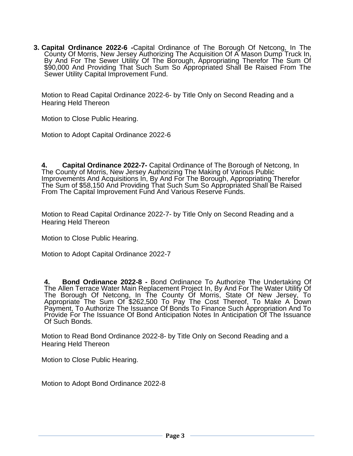**3. Capital Ordinance 2022-6 -**Capital Ordinance of The Borough Of Netcong, In The County Of Morris, New Jersey Authorizing The Acquisition Of A Mason Dump Truck In, By And For The Sewer Utility Of The Borough, Appropriating Therefor The Sum Of \$90,000 And Providing That Such Sum So Appropriated Shall Be Raised From The Sewer Utility Capital Improvement Fund.

Motion to Read Capital Ordinance 2022-6- by Title Only on Second Reading and a Hearing Held Thereon

Motion to Close Public Hearing.

Motion to Adopt Capital Ordinance 2022-6

**4. Capital Ordinance 2022-7-** Capital Ordinance of The Borough of Netcong, In The County of Morris, New Jersey Authorizing The Making of Various Public Improvements And Acquisitions In, By And For The Borough, Appropriating Therefor The Sum of \$58,150 And Providing That Such Sum So Appropriated Shall Be Raised From The Capital Improvement Fund And Various Reserve Funds.

Motion to Read Capital Ordinance 2022-7- by Title Only on Second Reading and a Hearing Held Thereon

Motion to Close Public Hearing.

Motion to Adopt Capital Ordinance 2022-7

**4. Bond Ordinance 2022-8 -** Bond Ordinance To Authorize The Undertaking Of The Allen Terrace Water Main Replacement Project In, By And For The Water Utility Of The Borough Of Netcong, In The County Of Morris, State Of New Jersey, To Appropriate The Sum Of \$262,500 To Pay The Cost Thereof, To Make A Down Payment, To Authorize The Issuance Of Bonds To Finance Such Appropriation And To Provide For The Issuance Of Bond Anticipation Notes In Anticipation Of The Issuance Of Such Bonds.

Motion to Read Bond Ordinance 2022-8- by Title Only on Second Reading and a Hearing Held Thereon

Motion to Close Public Hearing.

Motion to Adopt Bond Ordinance 2022-8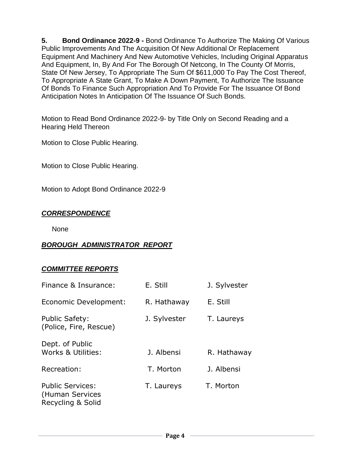**5. Bond Ordinance 2022-9 -** Bond Ordinance To Authorize The Making Of Various Public Improvements And The Acquisition Of New Additional Or Replacement Equipment And Machinery And New Automotive Vehicles, Including Original Apparatus And Equipment, In, By And For The Borough Of Netcong, In The County Of Morris, State Of New Jersey, To Appropriate The Sum Of \$611,000 To Pay The Cost Thereof, To Appropriate A State Grant, To Make A Down Payment, To Authorize The Issuance Of Bonds To Finance Such Appropriation And To Provide For The Issuance Of Bond Anticipation Notes In Anticipation Of The Issuance Of Such Bonds.

Motion to Read Bond Ordinance 2022-9- by Title Only on Second Reading and a Hearing Held Thereon

Motion to Close Public Hearing.

Motion to Close Public Hearing.

Motion to Adopt Bond Ordinance 2022-9

#### *CORRESPONDENCE*

None

#### *BOROUGH ADMINISTRATOR REPORT*

#### *COMMITTEE REPORTS*

| Finance & Insurance:                                            | E. Still     | J. Sylvester |
|-----------------------------------------------------------------|--------------|--------------|
| Economic Development:                                           | R. Hathaway  | E. Still     |
| <b>Public Safety:</b><br>(Police, Fire, Rescue)                 | J. Sylvester | T. Laureys   |
| Dept. of Public<br><b>Works &amp; Utilities:</b>                | J. Albensi   | R. Hathaway  |
| Recreation:                                                     | T. Morton    | J. Albensi   |
| <b>Public Services:</b><br>(Human Services<br>Recycling & Solid | T. Laureys   | T. Morton    |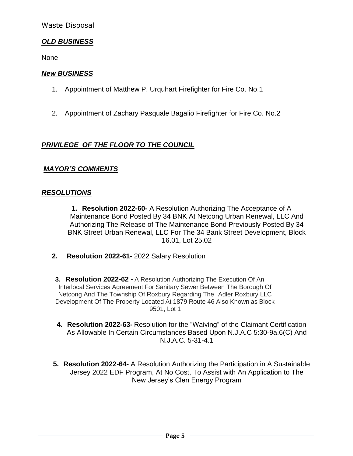Waste Disposal

## *OLD BUSINESS*

None

#### *New BUSINESS*

- 1. Appointment of Matthew P. Urquhart Firefighter for Fire Co. No.1
- 2. Appointment of Zachary Pasquale Bagalio Firefighter for Fire Co. No.2

## *PRIVILEGE OF THE FLOOR TO THE COUNCIL*

## *MAYOR'S COMMENTS*

#### *RESOLUTIONS*

**1. Resolution 2022-60-** A Resolution Authorizing The Acceptance of A Maintenance Bond Posted By 34 BNK At Netcong Urban Renewal, LLC And Authorizing The Release of The Maintenance Bond Previously Posted By 34 BNK Street Urban Renewal, LLC For The 34 Bank Street Development, Block 16.01, Lot 25.02

**2. Resolution 2022-61**- 2022 Salary Resolution

**3. Resolution 2022-62 -** A Resolution Authorizing The Execution Of An Interlocal Services Agreement For Sanitary Sewer Between The Borough Of Netcong And The Township Of Roxbury Regarding The Adler Roxbury LLC Development Of The Property Located At 1879 Route 46 Also Known as Block 9501, Lot 1

- **4. Resolution 2022-63-** Resolution for the "Waiving" of the Claimant Certification As Allowable In Certain Circumstances Based Upon N.J.A.C 5:30-9a.6(C) And N.J.A.C. 5-31-4.1
- **5. Resolution 2022-64-** A Resolution Authorizing the Participation in A Sustainable Jersey 2022 EDF Program, At No Cost, To Assist with An Application to The New Jersey's Clen Energy Program